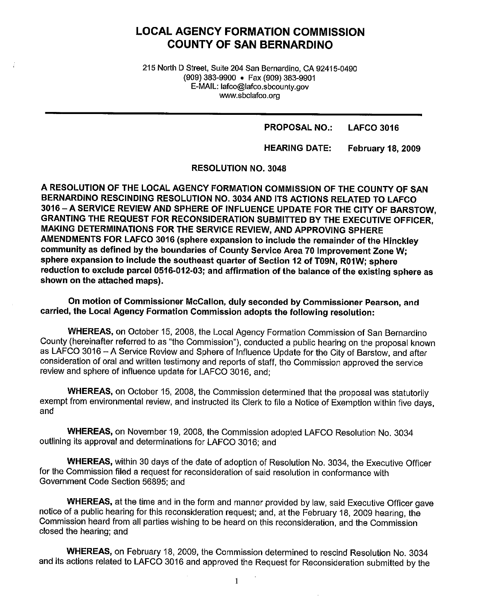# **LOCAL AGENCY FORMATION COMMISSION COUNTY OF SAN BERNARDINO**

215 North D Street, Suite 204 San Bernardino, CA 92415-0490 (909) 383-9900 • Fax (909) 383-9901 E-MAIL: lafco@lafco.sbcounty.gov www.sbclafco.org

> **PROPOSAL NO.: LAFCO 3016**

**HEARING DATE: February 18, 2009** 

**RESOLUTION NO. 3048** 

**A RESOLUTION OF THE LOCAL AGENCY FORMATION COMMISSION OF THE COUNTY OF SAN BERNARDINO RESCINDING RESOLUTION NO. 3034 AND ITS ACTIONS RELATED TO LAFCO 3016 -A SERVICE REVIEW AND SPHERE OF INFLUENCE UPDATE FOR THE CITY OF BARSTOW, GRANTING THE REQUEST FOR RECONSIDERATION SUBMITTED BY THE EXECUTIVE OFFICER, MAKING DETERMINATIONS FOR THE SERVICE REVIEW, AND APPROVING SPHERE AMENDMENTS FOR LAFCO 3016 (sphere expansion to include the remainder of the Hinckley community as defined by the boundaries of County Service Area 70 Improvement Zone W; sphere expansion to include the southeast quarter of Section 12 of T09N, R01W; sphere reduction to exclude parcel 0516-012-03; and affirmation of the balance of the existing sphere as shown on the attached maps).** 

**On motion of Commissioner McCallon, duly seconded by Commissioner Pearson, and carried, the Local Agency Formation Commission adopts the following resolution:** 

**WHEREAS,** on October 15, 2008, the Local Agency Formation Commission of San Bernardino County (hereinafter referred to as "the Commission"), conducted a public hearing on the proposal known as LAFCO 3016 - A Service Review and Sphere of Influence Update for the City of Barstow, and after consideration of oral and written testimony and reports of staff, the Commission approved the service review and sphere of influence update for LAFCO 3016, and;

**WHEREAS,** on October 15, 2008, the Commission determined that the proposal was statutorily exempt from environmental review, and instructed its Clerk to file a Notice of Exemption within five days, and

**WHEREAS,** on November 19, 2008, the Commission adopted LAFCO Resolution No. 3034 outlining its approval and determinations for LAFCO 3016; and

**WHEREAS,** within 30 days of the date of adoption of Resolution No. 3034, the Executive Officer for the Commission filed a request for reconsideration of said resolution in conformance with Government Code Section 56895; and

**WHEREAS,** at the time and in the form and manner provided by law, said Executive Officer gave notice of a public hearing for this reconsideration request; and, at the February 18, 2009 hearing, the Commission heard from all parties wishing to be heard on this reconsideration, and the Commission closed the hearing; and

**WHEREAS,** on February 18, 2009, the Commission determined to rescind Resolution No. 3034 and its actions related to LAFCO 3016 and approved the Request for Reconsideration submitted by the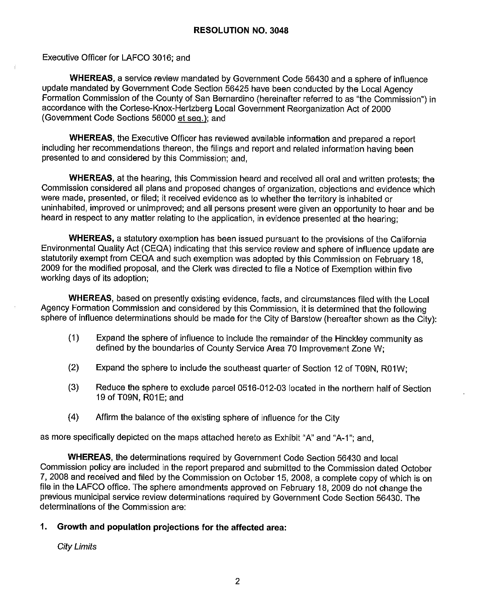Executive Officer for LAFCO 3016; and

**WHEREAS,** a service review mandated by Government Code 56430 and a sphere of influence update mandated by Government Code Section 56425 have been conducted by the Local Agency Formation Commission of the County of San Bernardino (hereinafter referred to as "the Commission") in accordance with the Cortese-Knox-Hertzberg Local Government Reorganization Act of 2000 (Government Code Sections 56000 et seq.): and

**WHEREAS,** the Executive Officer has reviewed available information and prepared a report including her recommendations thereon, the filings and report and related information having been presented to and considered by this Commission; and,

**WHEREAS,** at the hearing, this Commission heard and received all oral and written protests; the Commission considered all plans and proposed changes of organization, objections and evidence which were made, presented, or filed; it received evidence as to whether the territory is inhabited or uninhabited, improved or unimproved; and all persons present were given an opportunity to hear and be heard in respect to any matter relating to the application, in evidence presented at the hearing;

**WHEREAS,** a statutory exemption has been issued pursuant to the provisions of the California Environmental Quality Act (CEQA) indicating that this service review and sphere of influence update are statutorily exempt from CEQA and such exemption was adopted by this Commission on February 18, 2009 for the modified proposal, and the Clerk was directed to file a Notice of Exemption within five working days of its adoption;

**WHEREAS,** based on presently existing evidence, facts, and circumstances filed with the Local Agency Formation Commission and considered by this Commission, it is determined that the following sphere of influence determinations should be made for the City of Barstow (hereafter shown as the City):

- (1) Expand the sphere of influence to include the remainder of the Hinckley community as defined by the boundaries of County Service Area 70 Improvement Zone W;
- (2) Expand the sphere to include the southeast quarter of Section 12 of T09N, R01W;
- (3) Reduce the sphere to exclude parcel 0516-012-03 located in the northern half of Section 19 of T09N, R01E; and
- (4) Affirm the balance of the existing sphere of influence for the City

as more specifically depicted on the maps attached hereto as Exhibit "A" and "A-1"; and,

**WHEREAS,** the determinations required by Government Code Section 56430 and local Commission policy are included in the report prepared and submitted to the Commission dated October 7, 2008 and received and filed by the Commission on October 15, 2008, a complete copy of which is on file in the LAFCO office. The sphere amendments approved on February 18, 2009 do not change the previous municipal service review determinations required by Government Code Section 56430. The determinations of the Commission are:

# **1. Growth and population projections for the affected area:**

City Limits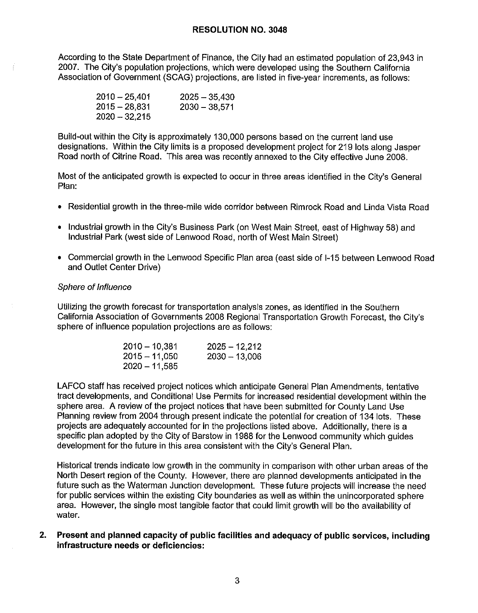According to the State Department of Finance, the City had an estimated population of 23,943 in 2007. The City's population projections, which were developed using the Southern California Association of Government (SCAG) projections, are listed in five-year increments, as follows:

| $2010 - 25,401$ | $2025 - 35,430$ |
|-----------------|-----------------|
| $2015 - 28,831$ | $2030 - 38,571$ |
| $2020 - 32215$  |                 |

Build-out within the City is approximately 130,000 persons based on the current land use designations. Within the City limits is a proposed development project for 219 lots along Jasper Road north of Citrine Road. This area was recently annexed to the City effective June 2008.

Most of the anticipated growth is expected to occur in three areas identified in the City's General Plan:

- Residential growth in the three-mile wide corridor between Rimrock Road and Linda Vista Road
- Industrial growth in the City's Business Park (on West Main Street, east of Highway 58) and Industrial Park (west side of Lenwood Road, north of West Main Street)
- Commercial growth in the Lenwood Specific Plan area (east side of 1-15 between Lenwood Road and Outlet Center Drive)

#### Sphere of Influence

Utilizing the growth forecast for transportation analysis zones, as identified in the Southern California Association of Governments 2008 Regional Transportation Growth Forecast, the City's sphere of influence population projections are as follows:

| 2010 – 10,381 | $2025 - 12,212$ |
|---------------|-----------------|
| 2015 – 11,050 | $2030 - 13,006$ |
| 2020 – 11,585 |                 |

LAFCO staff has received project notices which anticipate General Plan Amendments, tentative tract developments, and Conditional Use Permits for increased residential development within the sphere area. A review of the project notices that have been submitted for County Land Use Planning review from 2004 through present indicate the potential for creation of 134 lots. These projects are adequately accounted for in the projections listed above. Additionally, there is a specific plan adopted by the City of Barstow in 1988 for the Lenwood community which guides development for the future in this area consistent with the City's General Plan.

Historical trends indicate low growth in the community in comparison with other urban areas of the North Desert region of the County. However, there are planned developments anticipated in the future such as the Waterman Junction development. These future projects will increase the need for public services within the existing City boundaries as well as within the unincorporated sphere area. However, the single most tangible factor that could limit growth will be the availability of water.

**2. Present and planned capacity of public facilities and adequacy of public services, including infrastructure needs or deficiencies:**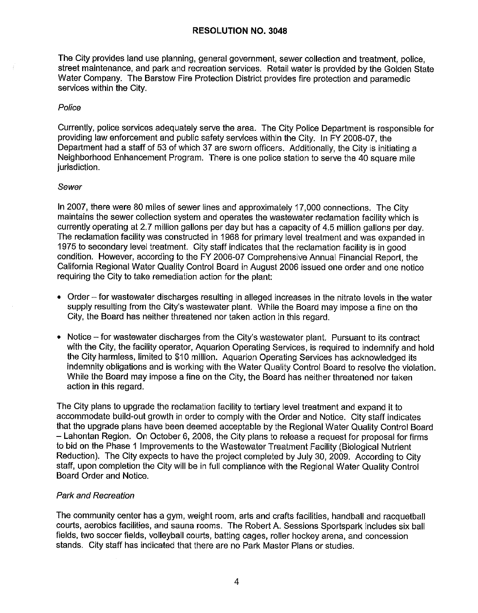The City provides land use planning, general government, sewer collection and treatment, police, street maintenance, and park and recreation services. Retail water is provided by the Golden State Water Company. The Barstow Fire Protection District provides fire protection and paramedic services within the City.

#### Police

Currently, police services adequately serve the area. The City Police Department is responsible for providing law enforcement and public safety services within the City. In FY 2006-07, the Department had a staff of 53 of which 37 are sworn officers. Additionally, the City is initiating a Neighborhood Enhancement Program. There is one police station to serve the 40 square mile jurisdiction.

#### Sewer

In 2007, there were 80 miles of sewer lines and approximately 17,000 connections. The City maintains the sewer collection system and operates the wastewater reclamation facility which is currently operating at 2.7 million gallons per day but has a capacity of 4.5 million gallons per day. The reclamation facility was constructed in 1968 for primary level treatment and was expanded in 1975 to secondary level treatment. City staff indicates that the reclamation facility is in good condition. However, according to the FY 2006-07 Comprehensive Annual Financial Report, the California Regional Water Quality Control Board in August 2006 issued one order and one notice requiring the City to take remediation action for the plant:

- Order for wastewater discharges resulting in alleged increases in the nitrate levels in the water supply resulting from the City's wastewater plant. While the Board may impose a fine on the City, the Board has neither threatened nor taken action in this regard.
- Notice for wastewater discharges from the City's wastewater plant. Pursuant to its contract with the City, the facility operator, Aquarion Operating Services, is required to indemnify and hold the City harmless, limited to \$10 million. Aquarion Operating Services has acknowledged its indemnity obligations and is working with the Water Quality Control Board to resolve the violation. While the Board may impose a fine on the City, the Board has neither threatened nor taken action in this regard.

The City plans to upgrade the reclamation facility to tertiary level treatment and expand it to accommodate build-out growth in order to comply with the Order and Notice. City staff indicates that the upgrade plans have been deemed acceptable by the Regional Water Quality Control Board - Lahontan Region. On October 6, 2008, the City plans to release a request for proposal for firms to bid on the Phase 1 Improvements to the Wastewater Treatment Facility (Biological Nutrient Reduction). The City expects to have the project completed by July 30, 2009. According to City staff, upon completion the City will be in full compliance with the Regional Water Quality Control Board Order and Notice.

# Park and Recreation

The community center has a gym, weight room, arts and crafts facilities, handball and racquetball courts, aerobics facilities, and sauna rooms. The Robert A. Sessions Sportspark includes six ball fields, two soccer fields, volleyball courts, batting cages, roller hockey arena, and concession stands. City staff has indicated that there are no Park Master Plans or studies.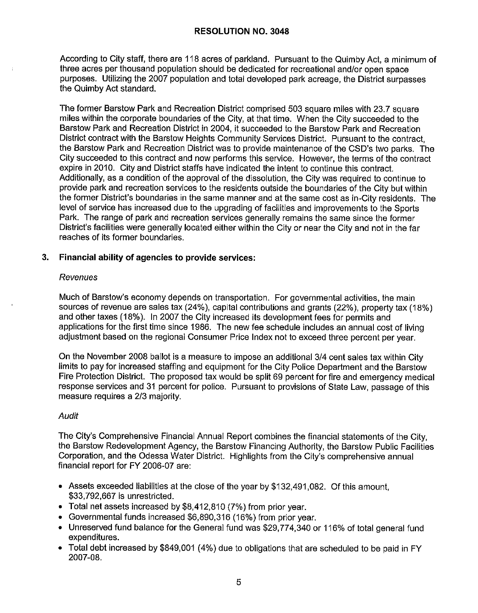According to City staff, there are 118 acres of parkland. Pursuant to the Quimby Act, a minimum of three acres per thousand population should be dedicated for recreational and/or open space purposes. Utilizing the 2007 population and total developed park acreage, the District surpasses the Quimby Act standard.

The former Barstow Park and Recreation District comprised 503 square miles with 23.7 square miles within the corporate boundaries of the City, at that time. When the City succeeded to the Barstow Park and Recreation District in 2004, it succeeded to the Barstow Park and Recreation District contract with the Barstow Heights Community Services District. Pursuant to the contract, the Barstow Park and Recreation District was to provide maintenance of the CSD's two parks. The City succeeded to this contract and now performs this service. However, the terms of the contract expire in 2010. City and District staffs have indicated the intent to continue this contract. Additionally, as a condition of the approval of the dissolution, the City was required to continue to provide park and recreation services to the residents outside the boundaries of the City but within the former District's boundaries in the same manner and at the same cost as in-City residents. The level of service has increased due to the upgrading of facilities and improvements to the Sports Park. The range of park and recreation services generally remains the same since the former District's facilities were generally located either within the City or near the City and not in the far reaches of its former boundaries.

# **3. Financial ability of agencies to provide services:**

#### *Revenues*

Much of Barstow's economy depends on transportation. For governmental activities, the main sources of revenue are sales tax (24%), capital contributions and grants (22%), property tax (18%) and other taxes (18%). In 2007 the City increased its development fees for permits and applications for the first time since 1986. The new fee schedule includes an annual cost of living adjustment based on the regional Consumer Price Index not to exceed three percent per year.

On the November 2008 ballot is a measure to impose an additional 3/4 cent sales tax within City limits to pay for increased staffing and equipment for the City Police Department and the Barstow Fire Protection District. The proposed tax would be split 69 percent for fire and emergency medical response services and 31 percent for police. Pursuant to provisions of State Law, passage of this measure requires a 2/3 majority.

# Audit

The City's Comprehensive Financial Annual Report combines the financial statements of the City, the Barstow Redevelopment Agency, the Barstow Financing Authority, the Barstow Public Facilities Corporation, and the Odessa Water District. Highlights from the City's comprehensive annual financial report for FY 2006-07 are:

- Assets exceeded liabilities at the close of the year by \$132,491,082. Of this amount, \$33,792,667 is unrestricted.
- Total net assets increased by \$8,412,810 (7%) from prior year.
- Governmental funds increased \$6,890,316 (16%) from prior year.
- Unreserved fund balance for the General fund was \$29,774,340 or 116% of total general fund expenditures.
- Total debt increased by \$849,001 (4%) due to obligations that are scheduled to be paid in FY 2007-08.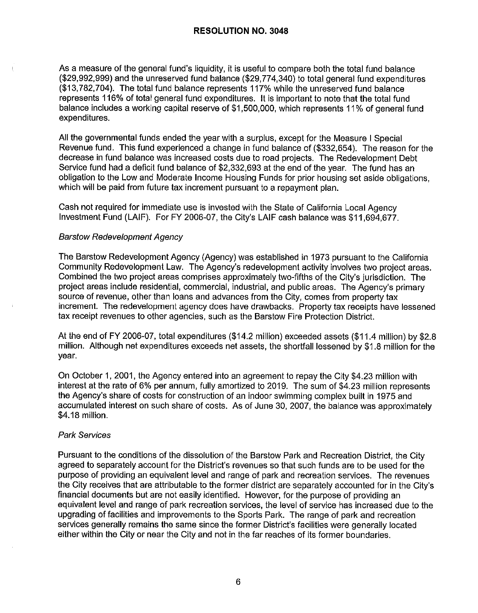As a measure of the general fund's liquidity, it is useful to compare both the total fund balance (\$29,992,999) and the unreserved fund balance (\$29,774,340) to total general fund expenditures (\$13,782,704). The total fund balance represents 117% while the unreserved fund balance represents 116% of total general fund expenditures. It is important to note that the total fund balance includes a working capital reserve of \$1,500,000, which represents 11% of general fund expenditures.

All the governmental funds ended the year with a surplus, except for the Measure I Special Revenue fund. This fund experienced a change in fund balance of (\$332,654). The reason for the decrease in fund balance was increased costs due to road projects. The Redevelopment Debt Service fund had a deficit fund balance of \$2,332,693 at the end of the year. The fund has an obligation to the Low and Moderate Income Housing Funds for prior housing set aside obligations, which will be paid from future tax increment pursuant to a repayment plan.

Cash not required for immediate use is invested with the State of California Local Agency Investment Fund (LAIF). For FY 2006-07, the City's LAIF cash balance was \$11,694,677.

#### Barstow Redevelopment Agency

The Barstow Redevelopment Agency (Agency) was established in 1973 pursuant to the California Community Redevelopment Law. The Agency's redevelopment activity involves two project areas. Combined the two project areas comprises approximately two-fifths of the City's jurisdiction. The project areas include residential, commercial, industrial, and public areas. The Agency's primary source of revenue, other than loans and advances from the City, comes from property tax increment. The redevelopment agency does have drawbacks. Property tax receipts have lessened tax receipt revenues to other agencies, such as the Barstow Fire Protection District.

At the end of FY 2006-07, total expenditures (\$14.2 million) exceeded assets (\$11.4 million) by \$2.8 million. Although net expenditures exceeds net assets, the shortfall lessened by \$1.8 million for the year.

On October 1, 2001, the Agency entered into an agreement to repay the City \$4.23 million with interest at the rate of 6% per annum, fully amortized to 2019. The sum of \$4.23 million represents the Agency's share of costs for construction of an indoor swimming complex built in 1975 and accumulated interest on such share of costs. As of June 30, 2007, the balance was approximately \$4.18 million.

#### Park Services

Pursuant to the conditions of the dissolution of the Barstow Park and Recreation District, the City agreed to separately account for the District's revenues so that such funds are to be used for the purpose of providing an equivalent level and range of park and recreation services. The revenues the City receives that are attributable to the former district are separately accounted for in the City's financial documents but are not easily identified. However, for the purpose of providing an equivalent level and range of park recreation services, the level of service has increased due to the upgrading of facilities and improvements to the Sports Park. The range of park and recreation services generally remains the same since the former District's facilities were generally located either within the City or near the City and not in the far reaches of its former boundaries.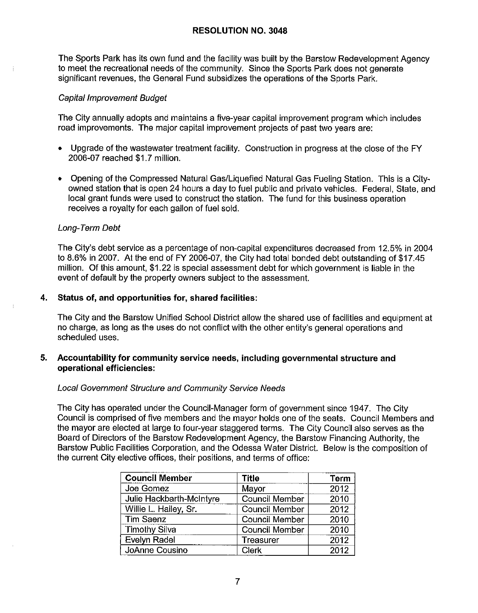The Sports Park has its own fund and the facility was built by the Barstow Redevelopment Agency to meet the recreational needs of the community. Since the Sports Park does not generate significant revenues, the General Fund subsidizes the operations of the Sports Park.

### Capital Improvement Budget

The City annually adopts and maintains a five-year capital improvement program which includes road improvements. The major capital improvement projects of past two years are:

- Upgrade of the wastewater treatment facility. Construction in progress at the close of the FY 2006-07 reached \$1. 7 million.
- Opening of the Compressed Natural Gas/Liquefied Natural Gas Fueling Station. This is a Cityowned station that is open 24 hours a day to fuel public and private vehicles. Federal, State, and local grant funds were used to construct the station. The fund for this business operation receives a royalty for each gallon of fuel sold.

#### Long-Term Debt

The City's debt service as a percentage of non-capital expenditures decreased from 12.5% in 2004 to 8.6% in 2007. At the end of FY 2006-07, the City had total bonded debt outstanding of \$17.45 million. Of this amount, \$1.22 is special assessment debt for which government is liable in the event of default by the property owners subject to the assessment.

#### **4. Status of, and opportunities for, shared facilities:**

The City and the Barstow Unified School District allow the shared use of facilities and equipment at no charge, as long as the uses do not conflict with the other entity's general operations and scheduled uses.

#### **5. Accountability for community service needs, including governmental structure and operational efficiencies:**

# Local Government Structure and Community Service Needs

The City has operated under the Council-Manager form of government since 1947. The City Council is comprised of five members and the mayor holds one of the seats. Council Members and the mayor are elected at large to four-year staggered terms. The City Council also serves as the Board of Directors of the Barstow Redevelopment Agency, the Barstow Financing Authority, the Barstow Public Facilities Corporation, and the Odessa Water District. Below is the composition of the current City elective offices, their positions, and terms of office:

| <b>Council Member</b>    | Title                 | <b>Term</b> |
|--------------------------|-----------------------|-------------|
| Joe Gomez                | Mayor                 | 2012        |
| Julie Hackbarth-McIntyre | Council Member        | 2010        |
| Willie L. Hailey, Sr.    | Council Member        | 2012        |
| <b>Tim Saenz</b>         | Council Member        | 2010        |
| <b>Timothy Silva</b>     | <b>Council Member</b> | 2010        |
| Evelyn Radel             | Treasurer             | 2012        |
| JoAnne Cousino           | Clerk                 | 2012        |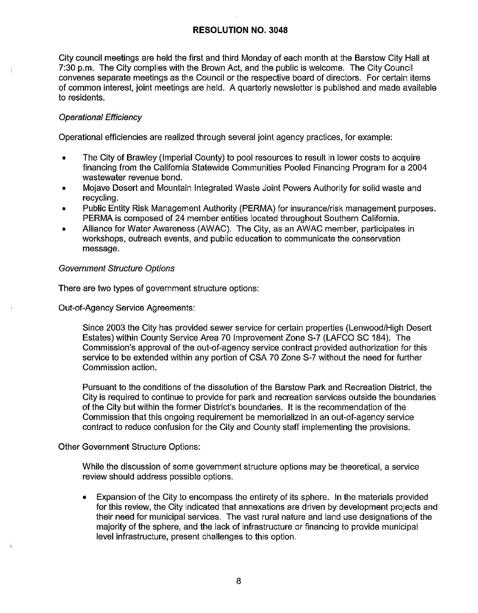City council meetings are held the first and third Monday of each month at the Barstow City Hall at 7:30 p.m. The City complies with the Brown Act, and the public is welcome. The City Council convenes separate meetings as the Council or the respective board of directors. For certain items of common interest, joint meetings are held. A quarterly newsletter is published and made available to residents.

### Operational Efficiency

Operational efficiencies are realized through several joint agency practices, for example:

- The City of Brawley (Imperial County) to pool resources to result in lower costs to acquire financing from the California Statewide Communities Pooled Financing Program for a 2004 wastewater revenue bond.
- Mojave Desert and Mountain Integrated Waste Joint Powers Authority for solid waste and recycling.
- Public Entity Risk Management Authority (PERMA) for insurance/risk management purposes. PERMA is composed of 24 member entities located throughout Southern California.
- Alliance for Water Awareness (AWAC). The City, as an AWAC member, participates in workshops, outreach events, and public education to communicate the conservation message.

#### Government Structure Options

There are two types of government structure options:

Out-of-Agency Service Agreements:

Since 2003 the City has provided sewer service for certain properties (Lenwood/High Desert Estates) within County Service Area 70 Improvement Zone S-7 (LAFCO SC 184). The Commission's approval of the out-of-agency service contract provided authorization for this service to be extended within any portion of CSA 70 Zone S-7 without the need for further Commission action.

Pursuant to the conditions of the dissolution of the Barstow Park and Recreation District, the City is required to continue to provide for park and recreation services outside the boundaries of the City but within the former District's boundaries. II is the recommendation of the Commission that this ongoing requirement be memorialized in an out-of-agency service contract to reduce confusion for the City and County staff implementing the provisions.

#### Other Government Structure Options:

While the discussion of some government structure options may be theoretical, a service review should address possible options.

• Expansion of the City to encompass the entirety of its sphere. In the materials provided for this review, the City indicated that annexations are driven by development projects and their need for municipal services. The vast rural nature and land use designations of the majority of the sphere, and the lack of infrastructure or financing to provide municipal level infrastructure, present challenges to this option.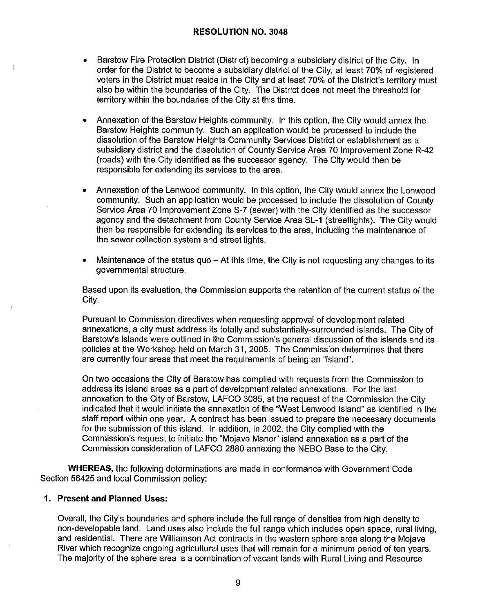- Barstow Fire Protection District (District) becoming a subsidiary district of the City. In order for the District to become a subsidiary district of the City, at least 70% of registered voters in the District must reside in the City and at least 70% of the District's territory must also be within the boundaries of the City. The District does not meet the threshold for territory within the boundaries of the City at this time.
- Annexation of the Barstow Heights community. In this option, the City would annex the Barstow Heights community. Such an application would be processed to include the dissolution of the Barstow Heights Community Services District or establishment as a subsidiary district and the dissolution of County Service Area 70 Improvement Zone R-42 (roads) with the City identified as the successor agency. The City would then be responsible for extending its services to the area.
- Annexation of the Lenwood community. In this option, the City would annex the Lenwood community. Such an application would be processed to include the dissolution of County Service Area 70 Improvement Zone S-7 (sewer) with the City identified as the successor agency and the detachment from County Service Area SL-1 (streetlights). The City would then be responsible for extending its services to the area, including the maintenance of the sewer collection system and street lights.
- Maintenance of the status quo  $-$  At this time, the City is not requesting any changes to its governmental structure.

Based upon its evaluation, the Commission supports the retention of the current status of the City.

Pursuant to Commission directives when requesting approval of development related annexations, a city must address its totally and substantially-surrounded islands. The City of Barstow's islands were outlined in the Commission's general discussion of the islands and its policies at the Workshop held on March 31, 2005. The Commission determines that there are currently four areas that meet the requirements of being an "island".

On two occasions the City of Barstow has complied with requests from the Commission to address its island areas as a part of development related annexations. For the last annexation to the City of Barstow, LAFCO 3085, at the request of the Commission the City indicated that it would initiate the annexation of the "West Lenwood Island" as identified in the staff report within one year. A contract has been issued to prepare the necessary documents for the submission of this island. In addition, in 2002, the City complied with the Commission's request to initiate the "Mojave Manor" island annexation as a part of the Commission consideration of LAFCO 2880 annexing the NEBO Base to the City.

**WHEREAS,** the following determinations are made in conformance with Government Code Section 56425 and local Commission policy:

# **1. Present and Planned Uses:**

Overall, the City's boundaries and sphere include the full range of densities from high density to non-developable land. Land uses also include the full range which includes open space, rural living, and residential. There are Williamson Act contracts in the western sphere area along the Mojave River which recognize ongoing agricultural uses that will remain for a minimum period of ten years. The majority of the sphere area is a combination of vacant lands with Rural Living and Resource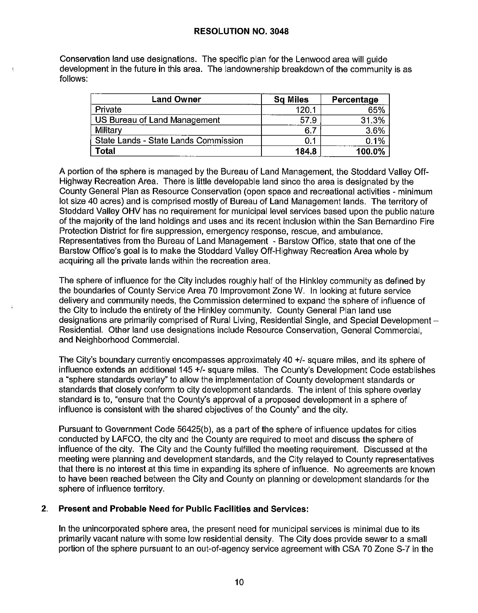Conservation land use designations. The specific plan for the Lenwood area will guide development in the future in this area. The landownership breakdown of the community is as follows:

| <b>Land Owner</b>                    | <b>Sq Miles</b> | Percentage |
|--------------------------------------|-----------------|------------|
| Private                              | 120.1           | 65%        |
| US Bureau of Land Management         | 57.9            | 31.3%      |
| Military                             | $-6.7$          | $3.6\%$    |
| State Lands - State Lands Commission | 0.1             | 0.1%       |
| Total                                | 184.8           | 100.0%     |

A portion of the sphere is managed by the Bureau of Land Management, the Stoddard Valley Off-Highway Recreation Area. There is little developable land since the area is designated by the County General Plan as Resource Conservation ( open space and recreational activities - minimum lot size 40 acres) and is comprised mostly of Bureau of Land Management lands. The territory of Stoddard Valley OHV has no requirement for municipal level services based upon the public nature of the majority of the land holdings and uses and its recent inclusion within the San Bernardino Fire Protection District for fire suppression, emergency response, rescue, and ambulance. Representatives from the Bureau of Land Management - Barstow Office, state that one of the Barstow Office's goal is to make the Stoddard Valley Off-Highway Recreation Area whole by acquiring all the private lands within the recreation area.

The sphere of influence for the City includes roughly half of the Hinkley community as defined by the boundaries of County Service Area 70 Improvement Zone W. In looking at future service delivery and community needs, the Commission determined to expand the sphere of influence of the City to include the entirety of the Hinkley community. County General Plan land use designations are primarily comprised of Rural Living, Residential Single, and Special Development -Residential. Other land use designations include Resource Conservation, General Commercial, and Neighborhood Commercial.

The City's boundary currently encompasses approximately 40 +/- square miles, and its sphere of influence extends an additional 145 +/- square miles. The County's Development Code establishes a "sphere standards overlay" to allow the implementation of County development standards or standards that closely conform to city development standards. The intent of this sphere overlay standard is to, "ensure that the County's approval of a proposed development in a sphere of influence is consistent with the shared objectives of the County" and the city.

Pursuant to Government Code 56425(b), as a part of the sphere of influence updates for cities conducted by LAFCO, the city and the County are required to meet and discuss the sphere of influence of the city. The City and the County fulfilled the meeting requirement. Discussed at the meeting were planning and development standards, and the City relayed to County representatives that there is no interest at this time in expanding its sphere of influence. No agreements are known to have been reached between the City and County on planning or development standards for the sphere of influence territory.

# **2. Present and Probable Need for Public Facilities and Services:**

In the unincorporated sphere area, the present need for municipal services is minimal due to its primarily vacant nature with some low residential density. The City does provide sewer to a small portion of the sphere pursuant to an out-of-agency service agreement with CSA 70 Zone S-7 in the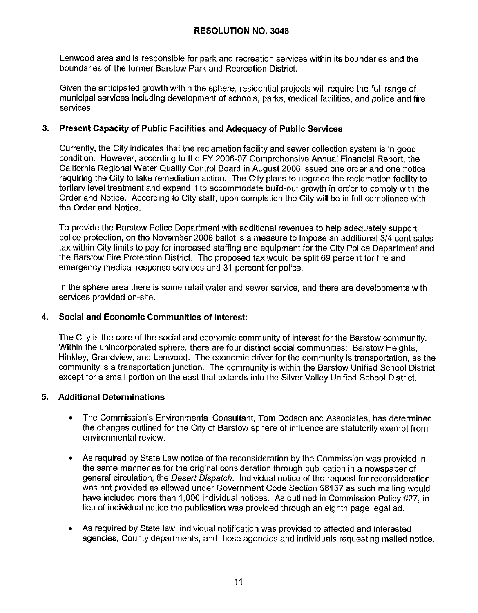Lenwood area and is responsible for park and recreation services within its boundaries and the boundaries of the former Barstow Park and Recreation District.

Given the anticipated growth within the sphere, residential projects will require the full range of municipal services including development of schools, parks, medical facilities, and police and fire services.

# **3. Present Capacity of Public Facilities and Adequacy of Public Services**

Currently, the City indicates that the reclamation facility and sewer collection system is in good condition. However, according to the FY 2006-07 Comprehensive Annual Financial Report, the California Regional Water Quality Control Board in August 2006 issued one order and one notice requiring the City to take remediation action. The City plans to upgrade the reclamation facility to tertiary level treatment and expand it to accommodate build-out growth in order to comply with the Order and Notice. According to City staff, upon completion the City will be in full compliance with the Order and Notice.

To provide the Barstow Police Department with additional revenues to help adequately support police protection, on the November 2008 ballot is a measure to impose an additional 3/4 cent sales tax within City limits to pay for increased staffing and equipment for the City Police Department and the Barstow Fire Protection District. The proposed tax would be split 69 percent for fire and emergency medical response services and 31 percent for police.

In the sphere area there is some retail water and sewer service, and there are developments with services provided on-site.

# **4. Social and Economic Communities of Interest:**

The City is the core of the social and economic community of interest for the Barstow community. Within the unincorporated sphere, there are four distinct social communities: Barstow Heights, Hinkley, Grandview, and Lenwood. The economic driver for the community is transportation, as the community is a transportation junction. The community is within the Barstow Unified School District except for a small portion on the east that extends into the Silver Valley Unified School District.

# **5. Additional Determinations**

- The Commission's Environmental Consultant, Tom Dodson and Associates, has determined the changes outlined for the City of Barstow sphere of influence are statutorily exempt from environmental review.
- As required by State Law notice of the reconsideration by the Commission was provided in the same manner as for the original consideration through publication in a newspaper of general circulation, the Desert Dispatch. Individual notice of the request for reconsideration was not provided as allowed under Government Code Section 56157 as such mailing would have included more than 1,000 individual notices. As outlined in Commission Policy #27, in lieu of individual notice the publication was provided through an eighth page legal ad.
- As required by State law, individual notification was provided to affected and interested agencies, County departments, and those agencies and individuals requesting mailed notice.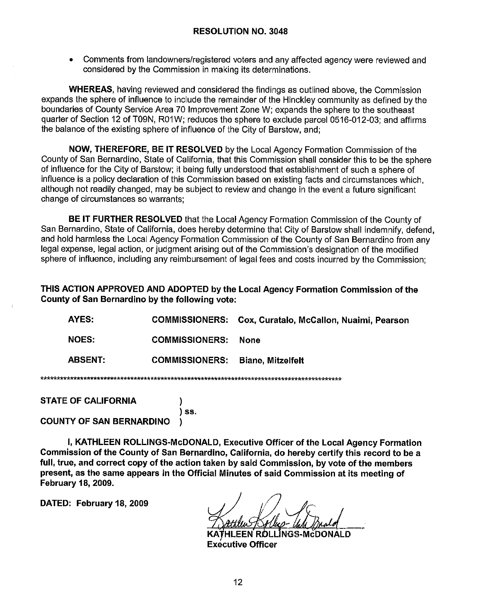Comments from landowners/registered voters and any affected agency were reviewed and considered by the Commission in making its determinations.

**WHEREAS, having reviewed and considered the findings as outlined above, the Commission** expands the sphere of influence to include the remainder of the Hinckley community as defined by the boundaries of County Service Area 70 Improvement Zone W; expands the sphere to the southeast quarter of Section 12 of T09N, R01W; reduces the sphere to exclude parcel 0516-012-03; and affirms the balance of the existing sphere of influence of the City of Barstow, and;

NOW. THEREFORE. BE IT RESOLVED by the Local Agency Formation Commission of the County of San Bernardino, State of California, that this Commission shall consider this to be the sphere of influence for the City of Barstow; it being fully understood that establishment of such a sphere of influence is a policy declaration of this Commission based on existing facts and circumstances which. although not readily changed, may be subject to review and change in the event a future significant change of circumstances so warrants:

BE IT FURTHER RESOLVED that the Local Agency Formation Commission of the County of San Bernardino, State of California, does hereby determine that City of Barstow shall indemnify, defend, and hold harmless the Local Agency Formation Commission of the County of San Bernardino from any legal expense, legal action, or judgment arising out of the Commission's designation of the modified sphere of influence, including any reimbursement of legal fees and costs incurred by the Commission:

THIS ACTION APPROVED AND ADOPTED by the Local Agency Formation Commission of the County of San Bernardino by the following vote:

| AYES:          |                                         | <b>COMMISSIONERS: Cox, Curatalo, McCallon, Nuaimi, Pearson</b> |  |  |
|----------------|-----------------------------------------|----------------------------------------------------------------|--|--|
| <b>NOES:</b>   | <b>COMMISSIONERS:</b>                   | None                                                           |  |  |
| <b>ABSENT:</b> | <b>COMMISSIONERS: Biane, Mitzelfelt</b> |                                                                |  |  |
|                |                                         |                                                                |  |  |

| <b>STATE OF CALIFORNIA</b>      |       |
|---------------------------------|-------|
| <b>COUNTY OF SAN BERNARDINO</b> | ) SS. |

I, KATHLEEN ROLLINGS-McDONALD, Executive Officer of the Local Agency Formation Commission of the County of San Bernardino, California, do hereby certify this record to be a full, true, and correct copy of the action taken by said Commission, by vote of the members present, as the same appears in the Official Minutes of said Commission at its meeting of **February 18, 2009.** 

DATED: February 18, 2009

فأسف فأسف فه

HLEEN ROLLINGS-McDONALD **Executive Officer**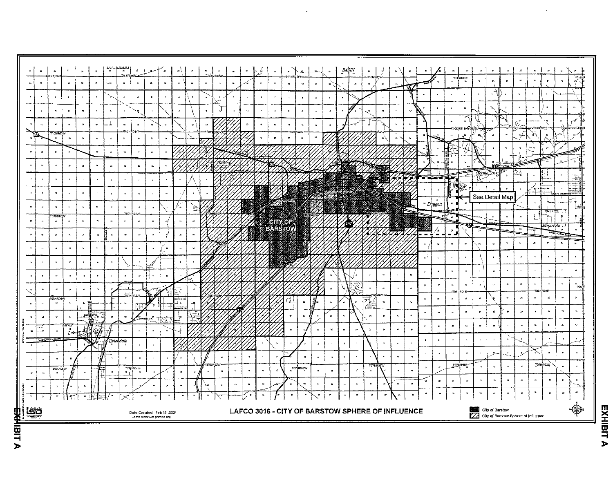|                                                                                                                                                                                                                                           | 28  | 21  | ø                             | Щ           | ş,            |    |
|-------------------------------------------------------------------------------------------------------------------------------------------------------------------------------------------------------------------------------------------|-----|-----|-------------------------------|-------------|---------------|----|
|                                                                                                                                                                                                                                           | p   | æ   | ø                             | ×           | 25            |    |
|                                                                                                                                                                                                                                           | ×   | y.  | 14                            | ×.          | ×             | 31 |
|                                                                                                                                                                                                                                           | ţ.  | é   | ú                             | ż           | ś             |    |
|                                                                                                                                                                                                                                           | *   | ś   | 10                            | n           | ią            | ,  |
|                                                                                                                                                                                                                                           | 17  | 14  | 10                            | ţ4          | 36            | ¢  |
|                                                                                                                                                                                                                                           | \$1 | ø   | TOSN ROSW<br>×                | z,          | 24            |    |
|                                                                                                                                                                                                                                           |     |     |                               |             | <b>Howard</b> |    |
|                                                                                                                                                                                                                                           | ¥   | a   | ¥                             | ы           | ķ             |    |
|                                                                                                                                                                                                                                           |     | Ł.  |                               | 'Silver     |               |    |
| Dark Countrie May 14, 2004                                                                                                                                                                                                                | z   |     | ×                             | .<br>Lake.  |               |    |
|                                                                                                                                                                                                                                           |     | Ś.  | <b>INDOVE MOLINE SAIN NO.</b> |             |               |    |
|                                                                                                                                                                                                                                           | ï   |     | \$                            | 2           |               |    |
|                                                                                                                                                                                                                                           | 1   | ú   | 10                            | 11          | v,            |    |
|                                                                                                                                                                                                                                           |     |     |                               |             |               |    |
|                                                                                                                                                                                                                                           | 12  | ċ\$ | TOTN ROS V<br>IJ              |             | Ħ             |    |
|                                                                                                                                                                                                                                           | ×   | 'n  | ä                             | ÷           |               |    |
|                                                                                                                                                                                                                                           | 51  | m   | Ī<br>n                        | ì<br>Į<br>š | 25            | Τķ |
| <b>Department of activity of the Contract of the Contract of Contract of the Contract of Contract of the Contract of Contract of Contract of Contract of Contract of Contract of Contract of Contract of Contract of Contract of</b><br>ļ |     |     |                               |             |               |    |
|                                                                                                                                                                                                                                           |     |     |                               |             |               |    |
|                                                                                                                                                                                                                                           |     |     |                               |             |               |    |
|                                                                                                                                                                                                                                           |     |     |                               |             |               |    |
| 역<br>Þ                                                                                                                                                                                                                                    |     |     |                               |             |               |    |